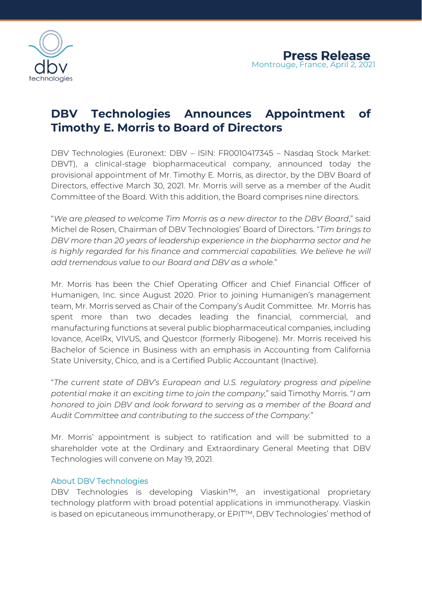

# **DBV Technologies Announces Appointment of Timothy E. Morris to Board of Directors**

DBV Technologies (Euronext: DBV – ISIN: FR0010417345 – Nasdaq Stock Market: DBVT), a clinical-stage biopharmaceutical company, announced today the provisional appointment of Mr. Timothy E. Morris, as director, by the DBV Board of Directors, effective March 30, 2021. Mr. Morris will serve as a member of the Audit Committee of the Board. With this addition, the Board comprises nine directors.

"*We are pleased to welcome Tim Morris as a new director to the DBV Board*," said Michel de Rosen, Chairman of DBV Technologies' Board of Directors. "*Tim brings to DBV more than 20 years of leadership experience in the biopharma sector and he is highly regarded for his finance and commercial capabilities. We believe he will add tremendous value to our Board and DBV as a whole.*"

Mr. Morris has been the Chief Operating Officer and Chief Financial Officer of Humanigen, Inc. since August 2020. Prior to joining Humanigen's management team, Mr. Morris served as Chair of the Company's Audit Committee. Mr. Morris has spent more than two decades leading the financial, commercial, and manufacturing functions at several public biopharmaceutical companies, including Iovance, AcelRx, VIVUS, and Questcor (formerly Ribogene). Mr. Morris received his Bachelor of Science in Business with an emphasis in Accounting from California State University, Chico, and is a Certified Public Accountant (Inactive).

"*The current state of DBV's European and U.S. regulatory progress and pipeline potential make it an exciting time to join the company,*" said Timothy Morris. "*I am honored to join DBV and look forward to serving as a member of the Board and Audit Committee and contributing to the success of the Company.*"

Mr. Morris' appointment is subject to ratification and will be submitted to a shareholder vote at the Ordinary and Extraordinary General Meeting that DBV Technologies will convene on May 19, 2021.

## About DBV Technologies

DBV Technologies is developing Viaskin™, an investigational proprietary technology platform with broad potential applications in immunotherapy. Viaskin is based on epicutaneous immunotherapy, or EPIT™, DBV Technologies' method of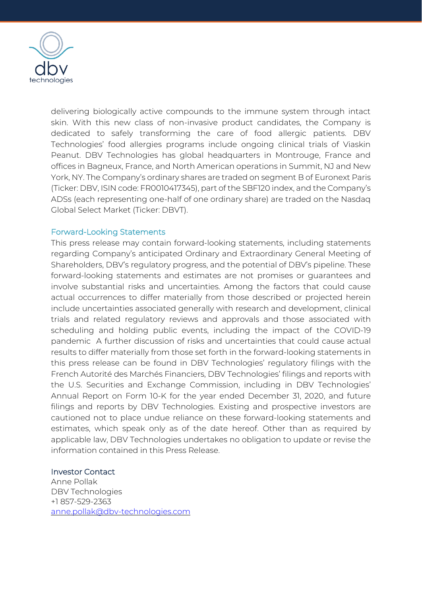

delivering biologically active compounds to the immune system through intact skin. With this new class of non-invasive product candidates, the Company is dedicated to safely transforming the care of food allergic patients. DBV Technologies' food allergies programs include ongoing clinical trials of Viaskin Peanut. DBV Technologies has global headquarters in Montrouge, France and offices in Bagneux, France, and North American operations in Summit, NJ and New York, NY. The Company's ordinary shares are traded on segment B of Euronext Paris (Ticker: DBV, ISIN code: FR0010417345), part of the SBF120 index, and the Company's ADSs (each representing one-half of one ordinary share) are traded on the Nasdaq Global Select Market (Ticker: DBVT).

## Forward-Looking Statements

This press release may contain forward-looking statements, including statements regarding Company's anticipated Ordinary and Extraordinary General Meeting of Shareholders, DBV's regulatory progress, and the potential of DBV's pipeline. These forward-looking statements and estimates are not promises or guarantees and involve substantial risks and uncertainties. Among the factors that could cause actual occurrences to differ materially from those described or projected herein include uncertainties associated generally with research and development, clinical trials and related regulatory reviews and approvals and those associated with scheduling and holding public events, including the impact of the COVID-19 pandemic A further discussion of risks and uncertainties that could cause actual results to differ materially from those set forth in the forward-looking statements in this press release can be found in DBV Technologies' regulatory filings with the French Autorité des Marchés Financiers, DBV Technologies' filings and reports with the U.S. Securities and Exchange Commission, including in DBV Technologies' Annual Report on Form 10-K for the year ended December 31, 2020, and future filings and reports by DBV Technologies. Existing and prospective investors are cautioned not to place undue reliance on these forward-looking statements and estimates, which speak only as of the date hereof. Other than as required by applicable law, DBV Technologies undertakes no obligation to update or revise the information contained in this Press Release.

### Investor Contact

Anne Pollak DBV Technologies +1 857-529-2363 [anne.pollak@dbv-technologies.com](mailto:anne.pollak@dbv-technologies.com)